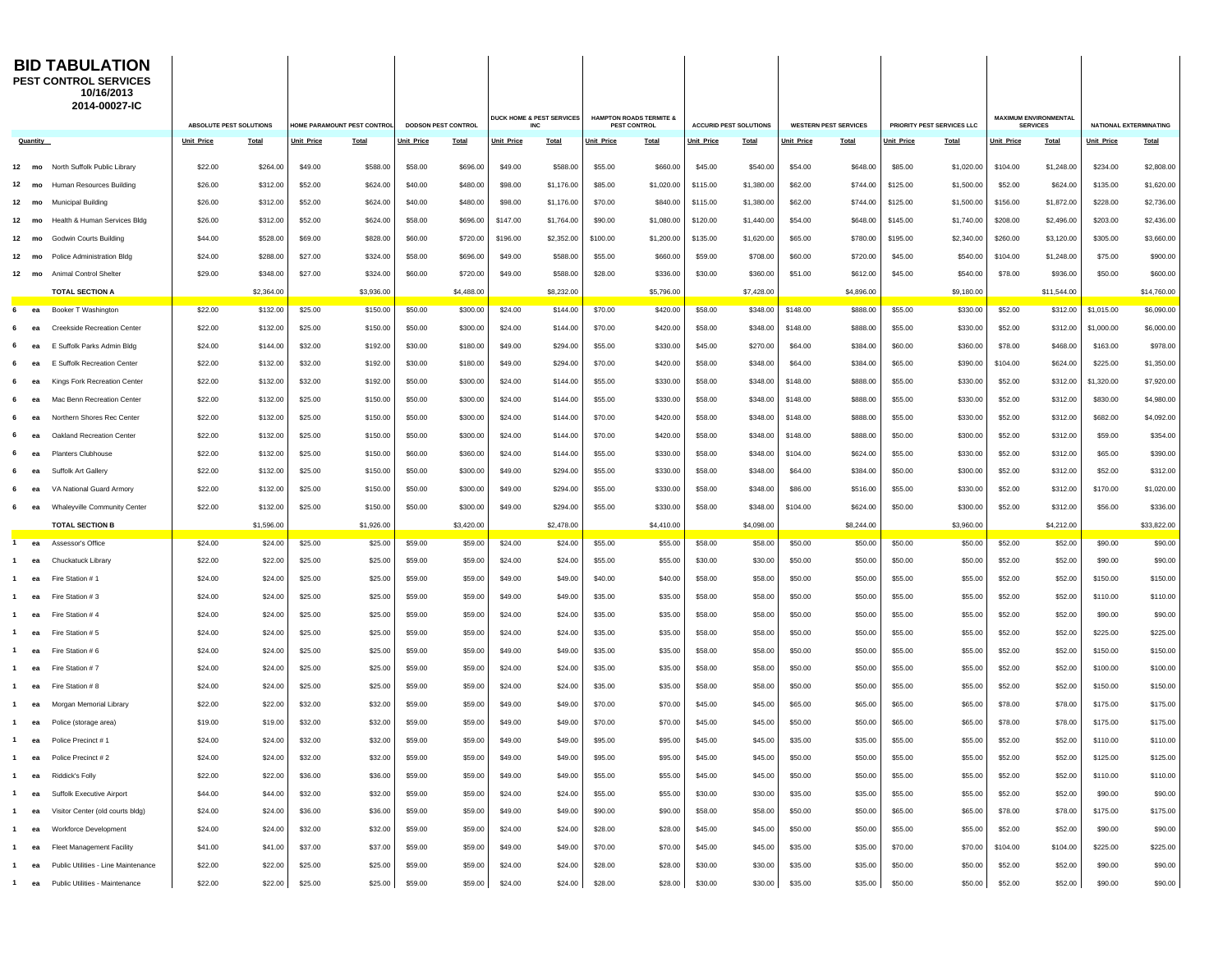| <b>BID TABULATION</b><br><b>PEST CONTROL SERVICES</b><br>10/16/2013<br>2014-00027-IC |                                                 |                                                        |                      |                                                                |                      |                    |                                                    |                    |                                                               |                    |                      |                    |                      |                            |                                                 |                    |                        |                    |                      |                     |                        |
|--------------------------------------------------------------------------------------|-------------------------------------------------|--------------------------------------------------------|----------------------|----------------------------------------------------------------|----------------------|--------------------|----------------------------------------------------|--------------------|---------------------------------------------------------------|--------------------|----------------------|--------------------|----------------------|----------------------------|-------------------------------------------------|--------------------|------------------------|--------------------|----------------------|---------------------|------------------------|
|                                                                                      |                                                 | ABSOLUTE PEST SOLUTIONS<br>HOME PARAMOUNT PEST CONTROL |                      | DUCK HOME & PEST SERVICES<br>DODSON PEST CONTROL<br><b>INC</b> |                      |                    | <b>HAMPTON ROADS TERMITE &amp;</b><br>PEST CONTROL |                    | <b>ACCURID PEST SOLUTIONS</b><br><b>WESTERN PEST SERVICES</b> |                    |                      |                    |                      | PRIORITY PEST SERVICES LLC | <b>MAXIMUM ENVIRONMENTAL</b><br><b>SERVICES</b> |                    | NATIONAL EXTERMINATING |                    |                      |                     |                        |
| Quantity                                                                             |                                                 | <b>Unit Price</b>                                      | Total                | Unit Price                                                     | Total                | <b>Unit Price</b>  | Total                                              | <b>Unit Price</b>  | <b>Total</b>                                                  | <b>Unit Price</b>  | <b>Total</b>         | Unit Price         | <b>Total</b>         | <b>Jnit Price</b>          | Total                                           | <b>Unit Price</b>  | Total                  | <b>Unit Price</b>  | Total                | <b>Unit Price</b>   | <b>Total</b>           |
| 12 mo                                                                                | North Suffolk Public Library                    | \$22.00                                                | \$264.00             | \$49.00                                                        | \$588.00             | \$58.00            | \$696.00                                           | \$49.00            | \$588.00                                                      | \$55.00            | \$660.00             | \$45.00            | \$540.00             | \$54.00                    | \$648.00                                        | \$85.00            | \$1,020.00             | \$104.00           | \$1,248.00           | \$234.00            | \$2,808.00             |
| 12<br>mo                                                                             | Human Resources Building                        | \$26.00                                                | \$312.00             | \$52.00                                                        | \$624.00             | \$40.00            | \$480.00                                           | \$98.00            | \$1,176.00                                                    | \$85.00            | \$1,020.00           | \$115.00           | \$1,380.00           | \$62.00                    | \$744.00                                        | \$125.00           | \$1,500.00             | \$52.00            | \$624.00             | \$135.00            | \$1,620.00             |
| 12<br>mo                                                                             | <b>Municipal Building</b>                       | \$26.00                                                | \$312.00             | \$52.00                                                        | \$624.00             | \$40.00            | \$480.00                                           | \$98.00            | \$1,176.00                                                    | \$70.00            | \$840.00             | \$115.00           | \$1,380.00           | \$62.00                    | \$744.00                                        | \$125.00           | \$1,500.00             | \$156.00           | \$1,872.00           | \$228.00            | \$2,736.00             |
| 12<br>mo                                                                             | Health & Human Services Bldg                    | \$26.00                                                | \$312.00             | \$52.00                                                        | \$624.00             | \$58.00            | \$696.00                                           | \$147.00           | \$1,764.00                                                    | \$90.00            | \$1,080.00           | \$120.00           | \$1,440.00           | \$54.00                    | \$648.00                                        | \$145.00           | \$1,740.00             | \$208.00           | \$2,496.00           | \$203.00            | \$2,436.00             |
| 12<br>mo                                                                             | <b>Godwin Courts Building</b>                   | \$44.00                                                | \$528.00             | \$69.00                                                        | \$828.00             | \$60.00            | \$720.00                                           | \$196.00           | \$2,352.00                                                    | \$100.00           | \$1,200.00           | \$135.00           | \$1,620.00           | \$65.00                    | \$780.00                                        | \$195.00           | \$2,340.00             | \$260.00           | \$3,120.00           | \$305.00            | \$3,660.00             |
| 12<br>mo                                                                             | Police Administration Bldg                      | \$24.00                                                | \$288.00             | \$27.00                                                        | \$324.00             | \$58.00            | \$696.00                                           | \$49.00            | \$588.00                                                      | \$55.00            | \$660.00             | \$59.00            | \$708.00             | \$60.00                    | \$720.00                                        | \$45.00            | \$540.00               | \$104.00           | \$1,248.00           | \$75.00             | \$900.00               |
| $12 \overline{ }$<br>mo                                                              | Animal Control Shelter                          | \$29.00                                                | \$348.00             | \$27.00                                                        | \$324.00             | \$60.00            | \$720.00                                           | \$49.00            | \$588.00                                                      | \$28.00            | \$336.00             | \$30.00            | \$360.00             | \$51.00                    | \$612.00                                        | \$45.00            | \$540.00               | \$78.00            | \$936.00             | \$50.00             | \$600.00               |
|                                                                                      | <b>TOTAL SECTION A</b>                          |                                                        | \$2,364.00           |                                                                | \$3,936.00           |                    | \$4,488.00                                         |                    | \$8,232.00                                                    |                    | \$5,796.00           |                    | \$7,428.00           |                            | \$4,896.00                                      |                    | \$9,180.00             |                    | \$11,544.00          |                     | \$14,760.00            |
| 6<br>ea                                                                              | Booker T Washington                             | \$22.00                                                | \$132.00             | \$25.00                                                        | \$150.00             | \$50.00            | \$300.00                                           | \$24.00            | \$144.00                                                      | \$70.00            | \$420.00             | \$58.00            | \$348.00             | \$148.00                   | \$888.00                                        | \$55.00            | \$330.00               | \$52.00            | \$312.00             | \$1,015.00          | \$6,090.00             |
| ea                                                                                   | <b>Creekside Recreation Center</b>              | \$22.00                                                | \$132.00             | \$25.00                                                        | \$150.00             | \$50.00            | \$300.00                                           | \$24.00            | \$144.00                                                      | \$70.00            | \$420.00             | \$58.00            | \$348.00             | \$148.00                   | \$888.00                                        | \$55.00            | \$330.00               | \$52.00            | \$312.00             | \$1,000.00          | \$6,000.00             |
|                                                                                      | E Suffolk Parks Admin Bldg                      | \$24.00                                                | \$144.00             | \$32.00                                                        | \$192.00             | \$30.00            | \$180.00                                           | \$49.00            | \$294.00                                                      | \$55.00            | \$330.00             | \$45.00            | \$270.00             | \$64.00                    | \$384.00                                        | \$60.00            | \$360.00               | \$78.00            | \$468.00             | \$163.00            | \$978.00               |
| ea                                                                                   | E Suffolk Recreation Center                     | \$22.00                                                | \$132.00             | \$32.00                                                        | \$192.00             | \$30.00            | \$180.00                                           | \$49.00            | \$294.00                                                      | \$70.00            | \$420.00             | \$58.00            | \$348.00             | \$64.00                    | \$384.00                                        | \$65.00            | \$390.00               | \$104.00           | \$624.00             | \$225.00            | \$1,350.00             |
| ea                                                                                   | Kings Fork Recreation Center                    | \$22.00                                                | \$132.00             | \$32.00                                                        | \$192.00             | \$50.00            | \$300.00                                           | \$24.00            | \$144.00                                                      | \$55.00            | \$330.00             | \$58.00            | \$348.00             | \$148.00                   | \$888.00                                        | \$55.00            | \$330.00               | \$52.00            | \$312.00             | \$1,320.00          | \$7,920.00             |
|                                                                                      | Mac Benn Recreation Center                      | \$22.00                                                | \$132.00             | \$25.00                                                        | \$150.00             | \$50.00            | \$300.00                                           | \$24.00            | \$144.00                                                      | \$55.00            | \$330.00             | \$58.00            | \$348.00             | \$148.00                   | \$888.00                                        | \$55.00            | \$330.00               | \$52.00            | \$312.00             | \$830.00            | \$4,980.00             |
|                                                                                      | Northern Shores Rec Center                      | \$22.00                                                | \$132.00             | \$25.00                                                        | \$150.00             | \$50.00            | \$300.00                                           | \$24.00            | \$144.00                                                      | \$70.00            | \$420.00             | \$58.00            | \$348.00             | \$148.00                   | \$888.00                                        | \$55.00            | \$330.00               | \$52.00            | \$312.00             | \$682.00            | \$4,092.00             |
| eа                                                                                   | Oakland Recreation Center                       | \$22.00                                                | \$132.00             | \$25.00                                                        | \$150.00             | \$50.00            | \$300.00                                           | \$24.00            | \$144.00                                                      | \$70.00            | \$420.00             | \$58.00            | \$348.00             | \$148.00                   | \$888.00                                        | \$50.00            | \$300.00               | \$52.00            | \$312.00             | \$59.00             | \$354.00               |
|                                                                                      | Planters Clubhouse                              | \$22.00                                                | \$132.00             | \$25.00                                                        | \$150.00             | \$60.00            | \$360.00                                           | \$24.00            | \$144.00                                                      | \$55.00            | \$330.00             | \$58.00            | \$348.00             | \$104.00                   | \$624.00                                        | \$55.00            | \$330.00               | \$52.00            | \$312.00             | \$65.00             | \$390.00               |
| ea                                                                                   | Suffolk Art Gallerv<br>VA National Guard Armory | \$22.00<br>\$22.00                                     | \$132.00<br>\$132.00 | \$25.00<br>\$25.00                                             | \$150.00<br>\$150.00 | \$50.00<br>\$50.00 | \$300.00<br>\$300.00                               | \$49.00<br>\$49.00 | \$294.00<br>\$294.00                                          | \$55.00<br>\$55.00 | \$330.00<br>\$330.00 | \$58.00<br>\$58.00 | \$348.00<br>\$348.00 | \$64.00<br>\$86.00         | \$384.00<br>\$516.00                            | \$50.00<br>\$55.00 | \$300.00<br>\$330.00   | \$52.00<br>\$52.00 | \$312.00<br>\$312.00 | \$52.00<br>\$170.00 | \$312.00<br>\$1,020.00 |
| ea<br>ea                                                                             | Whaleyville Community Center                    | \$22.00                                                | \$132.00             | \$25.00                                                        | \$150.00             | \$50.00            | \$300.00                                           | \$49.00            | \$294.00                                                      | \$55.00            | \$330.00             | \$58.00            | \$348.00             | \$104.00                   | \$624.00                                        | \$50.00            | \$300.00               | \$52.00            | \$312.00             | \$56.00             | \$336.00               |
|                                                                                      | <b>TOTAL SECTION B</b>                          |                                                        | \$1,596.00           |                                                                | \$1,926.00           |                    | \$3,420.00                                         |                    | \$2,478.00                                                    |                    | \$4,410.00           |                    | \$4,098.00           |                            | \$8,244.00                                      |                    | \$3,960.00             |                    | \$4,212.00           |                     | \$33,822.00            |
| $\mathbf{1}$<br>ea                                                                   | Assessor's Office                               | \$24.00                                                | \$24.00              | \$25.00                                                        | \$25.00              | \$59.00            | \$59.00                                            | \$24.00            | \$24.00                                                       | \$55.00            | \$55.00              | \$58.00            | \$58.00              | \$50.00                    | \$50.00                                         | \$50.00            | \$50.00                | \$52.00            | \$52.00              | \$90.00             | \$90.00                |
| ea                                                                                   | Chuckatuck Library                              | \$22.00                                                | \$22.00              | \$25.00                                                        | \$25.00              | \$59.00            | \$59.00                                            | \$24.00            | \$24.00                                                       | \$55.00            | \$55.00              | \$30.00            | \$30.00              | \$50.00                    | \$50.00                                         | \$50.00            | \$50.00                | \$52.00            | \$52.00              | \$90.00             | \$90.00                |
| ea                                                                                   | Fire Station #1                                 | \$24.00                                                | \$24.00              | \$25.00                                                        | \$25.00              | \$59.00            | \$59.00                                            | \$49.00            | \$49.00                                                       | \$40.00            | \$40.00              | \$58.00            | \$58.00              | \$50.00                    | \$50.00                                         | \$55.00            | \$55.00                | \$52.00            | \$52.00              | \$150.00            | \$150.00               |
| ea                                                                                   | Fire Station #3                                 | \$24.00                                                | \$24.00              | \$25.00                                                        | \$25.00              | \$59.00            | \$59.00                                            | \$49.00            | \$49.00                                                       | \$35.00            | \$35.00              | \$58.00            | \$58.00              | \$50.00                    | \$50.00                                         | \$55.00            | \$55.00                | \$52.00            | \$52.00              | \$110.00            | \$110.00               |
|                                                                                      | Fire Station #4                                 | \$24.00                                                | \$24.00              | \$25.00                                                        | \$25.00              | \$59.00            | \$59.00                                            | \$24.00            | \$24.00                                                       | \$35.00            | \$35.00              | \$58.00            | \$58.00              | \$50.00                    | \$50.00                                         | \$55.00            | \$55.00                | \$52.00            | \$52.00              | \$90.00             | \$90.00                |
|                                                                                      | Fire Station #5                                 | \$24.00                                                | \$24.00              | \$25.00                                                        | \$25.00              | \$59.00            | \$59.00                                            | \$24.00            | \$24.00                                                       | \$35.00            | \$35.00              | \$58.00            | \$58.00              | \$50.00                    | \$50.00                                         | \$55.00            | \$55.00                | \$52.00            | \$52.00              | \$225.00            | \$225.00               |
| ea                                                                                   | Fire Station #6                                 | \$24.00                                                | \$24.00              | \$25.00                                                        | \$25.00              | \$59.00            | \$59.00                                            | \$49.00            | \$49.00                                                       | \$35.00            | \$35.00              | \$58.00            | \$58.00              | \$50.00                    | \$50.00                                         | \$55.00            | \$55.00                | \$52.00            | \$52.00              | \$150.00            | \$150.00               |
| ea                                                                                   | Fire Station #7                                 | \$24.00                                                | \$24.00              | \$25.00                                                        | \$25.00              | \$59.00            | \$59.00                                            | \$24.00            | \$24.00                                                       | \$35.00            | \$35.00              | \$58.00            | \$58.00              | \$50.00                    | \$50.00                                         | \$55.00            | \$55.00                | \$52.00            | \$52.00              | \$100.00            | \$100.00               |
| ea                                                                                   | Fire Station #8                                 | \$24.00                                                | \$24.00              | \$25.00                                                        | \$25.00              | \$59.00            | \$59.00                                            | \$24.00            | \$24.00                                                       | \$35.00            | \$35.00              | \$58.00            | \$58.00              | \$50.00                    | \$50.00                                         | \$55.00            | \$55.00                | \$52.00            | \$52.00              | \$150.00            | \$150.00               |
| ea                                                                                   | Morgan Memorial Library                         | \$22.00                                                | \$22.00              | \$32.00                                                        | \$32.00              | \$59.00            | \$59.00                                            | \$49.00            | \$49.00                                                       | \$70.00            | \$70.00              | \$45.00            | \$45.00              | \$65.00                    | \$65.00                                         | \$65.00            | \$65.00                | \$78.00            | \$78.00              | \$175.00            | \$175.00               |
| ea                                                                                   | Police (storage area)                           | \$19.00                                                | \$19.00              | \$32.00                                                        | \$32.00              | \$59.00            | \$59.00                                            | \$49.00            | \$49.00                                                       | \$70.00            | \$70.00              | \$45.00            | \$45.00              | \$50.00                    | \$50.00                                         | \$65.00            | \$65.00                | \$78.00            | \$78.00              | \$175.00            | \$175.00               |
| 1<br>ea                                                                              | Police Precinct #1                              | \$24.00                                                | \$24.00              | \$32.00                                                        | \$32.00              | \$59.00            | \$59.00                                            | \$49.00            | \$49.00                                                       | \$95.00            | \$95.00              | \$45.00            | \$45.00              | \$35.00                    | \$35.00                                         | \$55.00            | \$55.00                | \$52.00            | \$52.00              | \$110.00            | \$110.00               |
| 1.<br>ea                                                                             | Police Precinct #2                              | \$24.00                                                | \$24.00              | \$32.00                                                        | \$32.00              | \$59.00            | \$59.00                                            | \$49.00            | \$49.00                                                       | \$95.00            | \$95.00              | \$45.00            | \$45.00              | \$50.00                    | \$50.00                                         | \$55.00            | \$55.00                | \$52.00            | \$52.00              | \$125.00            | \$125.00               |
| ea                                                                                   | Riddick's Folly                                 | \$22.00                                                | \$22.00              | \$36.00                                                        | \$36.00              | \$59.00            | \$59.00                                            | \$49.00            | \$49.00                                                       | \$55.00            | \$55.00              | \$45.00            | \$45.00              | \$50.00                    | \$50.00                                         | \$55.00            | \$55.00                | \$52.00            | \$52.00              | \$110.00            | \$110.00               |
| ea                                                                                   | Suffolk Executive Airport                       | \$44.00                                                | \$44.00              | \$32.00                                                        | \$32.00              | \$59.00            | \$59.00                                            | \$24.00            | \$24.00                                                       | \$55.00            | \$55.00              | \$30.00            | \$30.00              | \$35.00                    | \$35.00                                         | \$55.00            | \$55.00                | \$52.00            | \$52.00              | \$90.00             | \$90.00                |
| ea<br>1.                                                                             | Visitor Center (old courts bldg)                | \$24.00                                                | \$24.00              | \$36.00                                                        | \$36.00              | \$59.00            | \$59.00                                            | \$49.00            | \$49.00                                                       | \$90.00            | \$90.00              | \$58.00            | \$58.00              | \$50.00                    | \$50.00                                         | \$65.00            | \$65.00                | \$78.00            | \$78.00              | \$175.00            | \$175.00               |
| ea                                                                                   | Workforce Development                           | \$24.00                                                | \$24.00              | \$32.00                                                        | \$32.00              | \$59.00            | \$59.00                                            | \$24.00            | \$24.00                                                       | \$28.00            | \$28.00              | \$45.00            | \$45.00              | \$50.00                    | \$50.00                                         | \$55.00            | \$55.00                | \$52.00            | \$52.00              | \$90.00             | \$90.00                |
| ea                                                                                   | <b>Fleet Management Facility</b>                | \$41.00                                                | \$41.00              | \$37.00                                                        | \$37.00              | \$59.00            | \$59.00                                            | \$49.00            | \$49.00                                                       | \$70.00            | \$70.00              | \$45.00            | \$45.00              | \$35.00                    | \$35.00                                         | \$70.00            | \$70.00                | \$104.00           | \$104.00             | \$225.00            | \$225.00               |
| ea                                                                                   | Public Utilities - Line Maintenance             | \$22.00                                                | \$22.00              | \$25.00                                                        | \$25.00              | \$59.00            | \$59.00                                            | \$24.00            | \$24.00                                                       | \$28.00            | \$28.00              | \$30.00            | \$30.00              | \$35.00                    | \$35.00                                         | \$50.00            | \$50.00                | \$52.00            | \$52.00              | \$90.00             | \$90.00                |
| ea<br>$\mathbf{1}$                                                                   | Public Utilities - Maintenance                  | \$22.00                                                | \$22.00              | \$25.00                                                        | \$25.00              | \$59.00            | \$59.00                                            | \$24.00            | \$24.00                                                       | \$28.00            | \$28.00              | \$30.00            | \$30.00              | \$35.00                    | \$35.00                                         | \$50.00            | \$50.00                | \$52.00            | \$52.00              | \$90.00             | \$90.00                |